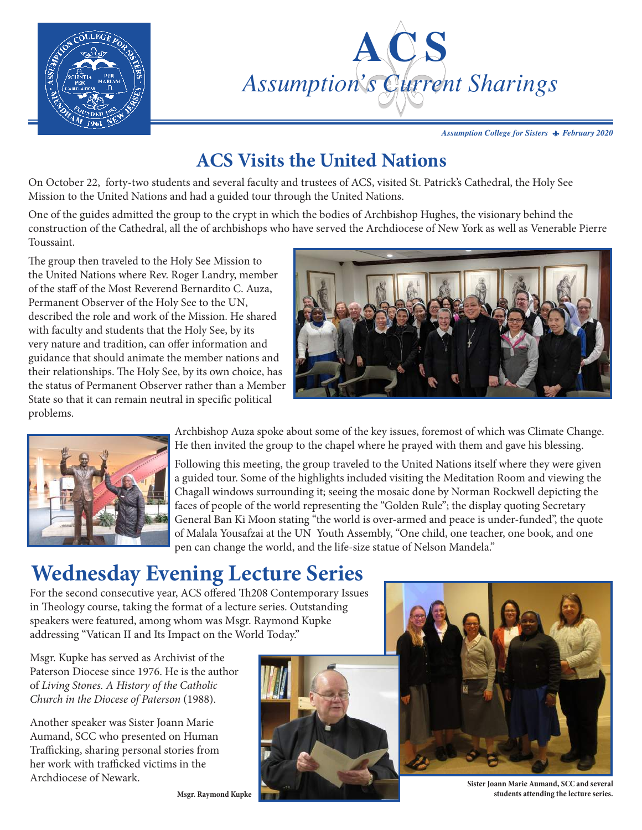



Assumption College for Sisters **A** *February 2020* 

### **ACS Visits the United Nations**

On October 22, forty-two students and several faculty and trustees of ACS, visited St. Patrick's Cathedral, the Holy See Mission to the United Nations and had a guided tour through the United Nations.

One of the guides admitted the group to the crypt in which the bodies of Archbishop Hughes, the visionary behind the construction of the Cathedral, all the of archbishops who have served the Archdiocese of New York as well as Venerable Pierre Toussaint.

The group then traveled to the Holy See Mission to the United Nations where Rev. Roger Landry, member of the staff of the Most Reverend Bernardito C. Auza, Permanent Observer of the Holy See to the UN, described the role and work of the Mission. He shared with faculty and students that the Holy See, by its very nature and tradition, can offer information and guidance that should animate the member nations and their relationships. The Holy See, by its own choice, has the status of Permanent Observer rather than a Member State so that it can remain neutral in specific political problems.





Archbishop Auza spoke about some of the key issues, foremost of which was Climate Change. He then invited the group to the chapel where he prayed with them and gave his blessing.

Following this meeting, the group traveled to the United Nations itself where they were given a guided tour. Some of the highlights included visiting the Meditation Room and viewing the Chagall windows surrounding it; seeing the mosaic done by Norman Rockwell depicting the faces of people of the world representing the "Golden Rule"; the display quoting Secretary General Ban Ki Moon stating "the world is over-armed and peace is under-funded", the quote of Malala Yousafzai at the UN Youth Assembly, "One child, one teacher, one book, and one pen can change the world, and the life-size statue of Nelson Mandela."

# **Wednesday Evening Lecture Series**

For the second consecutive year, ACS offered Th208 Contemporary Issues in Theology course, taking the format of a lecture series. Outstanding speakers were featured, among whom was Msgr. Raymond Kupke addressing "Vatican II and Its Impact on the World Today."

Msgr. Kupke has served as Archivist of the Paterson Diocese since 1976. He is the author of *Living Stones. A History of the Catholic Church in the Diocese of Paterson* (1988).

Another speaker was Sister Joann Marie Aumand, SCC who presented on Human Trafficking, sharing personal stories from her work with trafficked victims in the Archdiocese of Newark.





**Sister Joann Marie Aumand, SCC and several students attending the lecture series.**

**Msgr. Raymond Kupke**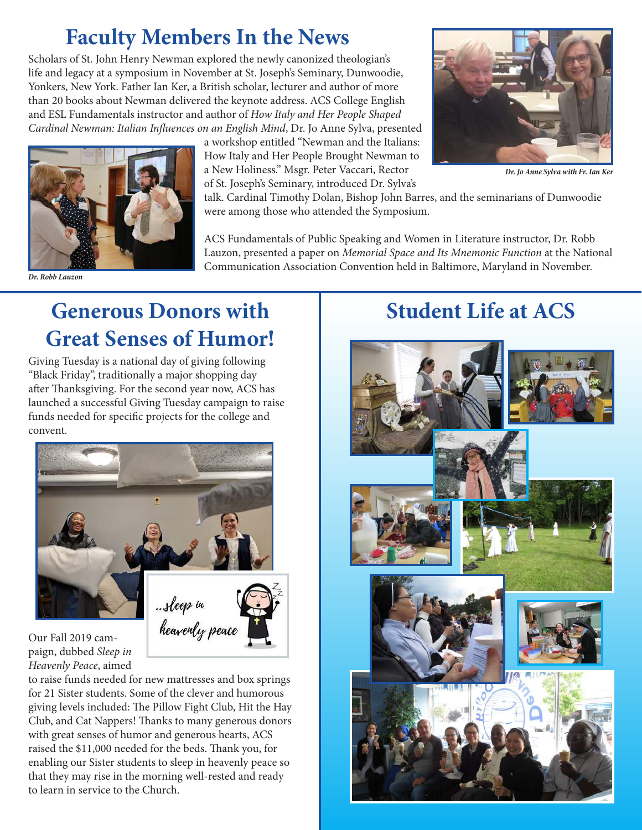# **Faculty Members In the News**

Scholars of St. John Henry Newman explored the newly canonized theologian's life and legacy at a symposium in November at St. Joseph's Seminary, Dunwoodie, Yonkers, New York. Father Ian Ker, a British scholar, lecturer and author of more than 20 books about Newman delivered the keynote address. ACS College English and ESL Fundamentals instructor and author of *How Italy and Her People Shaped Cardinal Newman: Italian Influences on an English Mind*, Dr. Jo Anne Sylva, presented



*Dr. Robb Lauzon*

a workshop entitled "Newman and the Italians: How Italy and Her People Brought Newman to a New Holiness." Msgr. Peter Vaccari, Rector of St. Joseph's Seminary, introduced Dr. Sylva's



*Dr. Jo Anne Sylva with Fr. Ian Ker*

talk. Cardinal Timothy Dolan, Bishop John Barres, and the seminarians of Dunwoodie were among those who attended the Symposium.

ACS Fundamentals of Public Speaking and Women in Literature instructor, Dr. Robb Lauzon, presented a paper on *Memorial Space and Its Mnemonic Function* at the National Communication Association Convention held in Baltimore, Maryland in November.

## **Generous Donors with Great Senses of Humor!**

Giving Tuesday is a national day of giving following "Black Friday", traditionally a major shopping day after Thanksgiving. For the second year now, ACS has launched a successful Giving Tuesday campaign to raise funds needed for specific projects for the college and convent.



Our Fall 2019 campaign, dubbed *Sleep in Heavenly Peace*, aimed

to raise funds needed for new mattresses and box springs for 21 Sister students. Some of the clever and humorous giving levels included: The Pillow Fight Club, Hit the Hay Club, and Cat Nappers! Thanks to many generous donors with great senses of humor and generous hearts, ACS raised the \$11,000 needed for the beds. Thank you, for enabling our Sister students to sleep in heavenly peace so that they may rise in the morning well-rested and ready to learn in service to the Church.

## **Student Life at ACS**

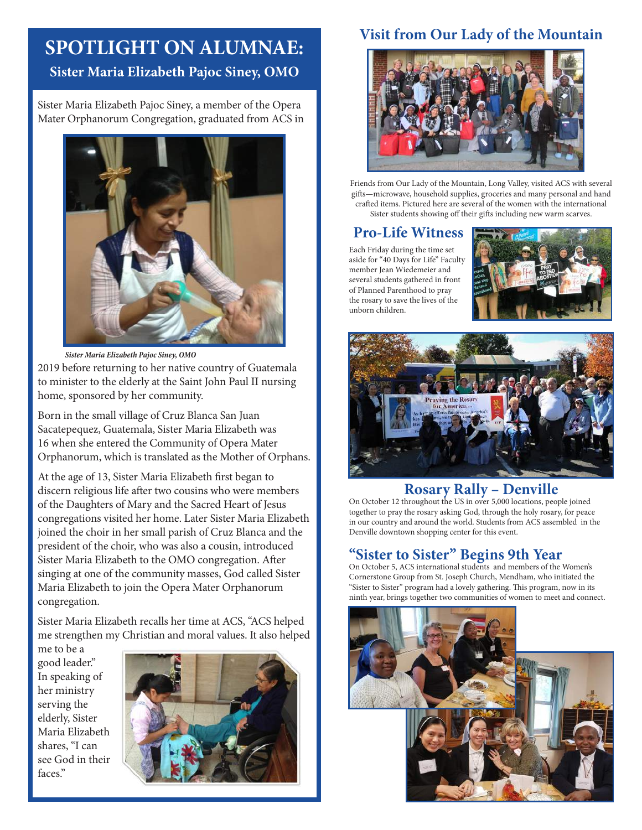### **SPOTLIGHT ON ALUMNAE: Sister Maria Elizabeth Pajoc Siney, OMO**

Sister Maria Elizabeth Pajoc Siney, a member of the Opera Mater Orphanorum Congregation, graduated from ACS in



2019 before returning to her native country of Guatemala to minister to the elderly at the Saint John Paul II nursing home, sponsored by her community. *Sister Maria Elizabeth Pajoc Siney, OMO*

Born in the small village of Cruz Blanca San Juan Sacatepequez, Guatemala, Sister Maria Elizabeth was 16 when she entered the Community of Opera Mater Orphanorum, which is translated as the Mother of Orphans.

At the age of 13, Sister Maria Elizabeth first began to discern religious life after two cousins who were members of the Daughters of Mary and the Sacred Heart of Jesus congregations visited her home. Later Sister Maria Elizabeth joined the choir in her small parish of Cruz Blanca and the president of the choir, who was also a cousin, introduced Sister Maria Elizabeth to the OMO congregation. After singing at one of the community masses, God called Sister Maria Elizabeth to join the Opera Mater Orphanorum congregation.

Sister Maria Elizabeth recalls her time at ACS, "ACS helped me strengthen my Christian and moral values. It also helped

me to be a good leader." In speaking of her ministry serving the elderly, Sister Maria Elizabeth shares, "I can see God in their faces."



#### **Visit from Our Lady of the Mountain**



Friends from Our Lady of the Mountain, Long Valley, visited ACS with several gifts—microwave, household supplies, groceries and many personal and hand crafted items. Pictured here are several of the women with the international Sister students showing off their gifts including new warm scarves.

#### **Pro-Life Witness**

Each Friday during the time set aside for "40 Days for Life" Faculty member Jean Wiedemeier and several students gathered in front of Planned Parenthood to pray the rosary to save the lives of the unborn children.





#### **Rosary Rally – Denville**

On October 12 throughout the US in over 5,000 locations, people joined together to pray the rosary asking God, through the holy rosary, for peace in our country and around the world. Students from ACS assembled in the Denville downtown shopping center for this event.

#### **"Sister to Sister" Begins 9th Year**

On October 5, ACS international students and members of the Women's Cornerstone Group from St. Joseph Church, Mendham, who initiated the "Sister to Sister" program had a lovely gathering. This program, now in its ninth year, brings together two communities of women to meet and connect.